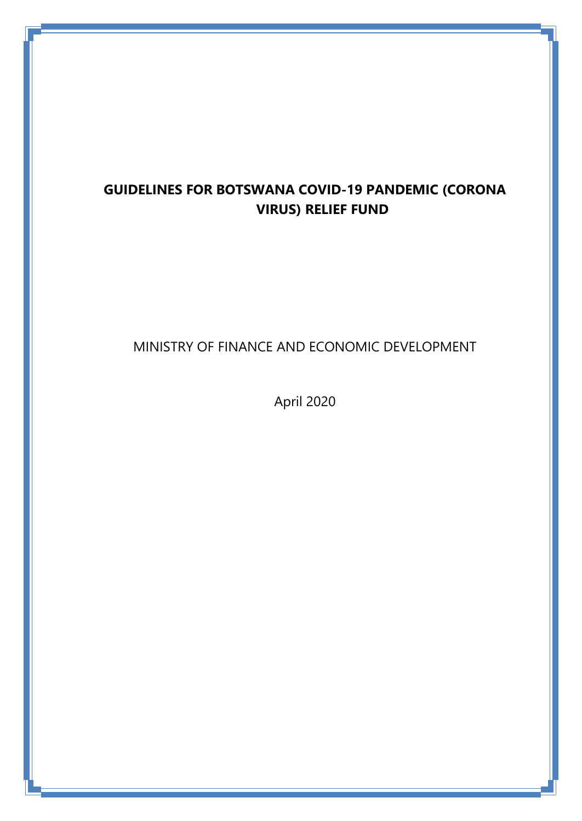# **GUIDELINES FOR BOTSWANA COVID-19 PANDEMIC (CORONA VIRUS) RELIEF FUND**

# MINISTRY OF FINANCE AND ECONOMIC DEVELOPMENT

April 2020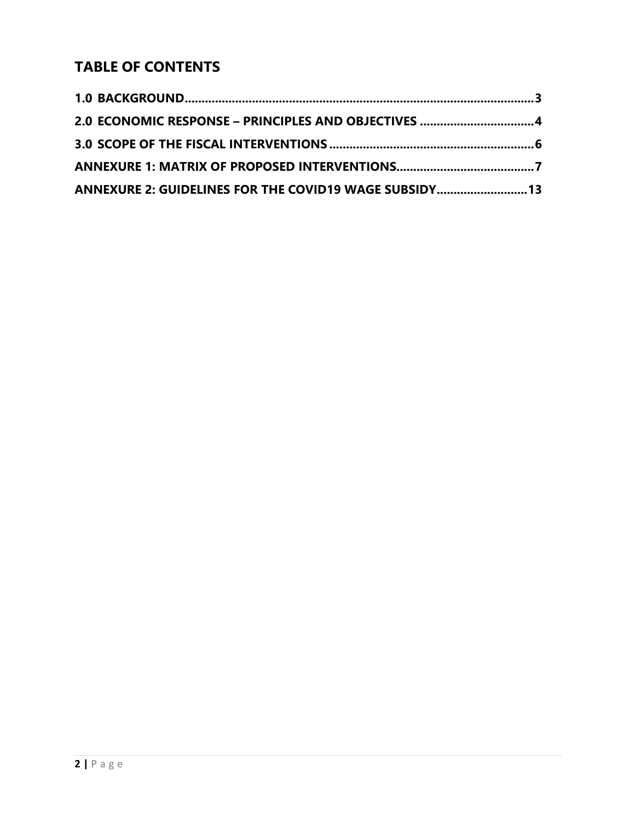# **TABLE OF CONTENTS**

| ANNEXURE 2: GUIDELINES FOR THE COVID19 WAGE SUBSIDY13 |  |
|-------------------------------------------------------|--|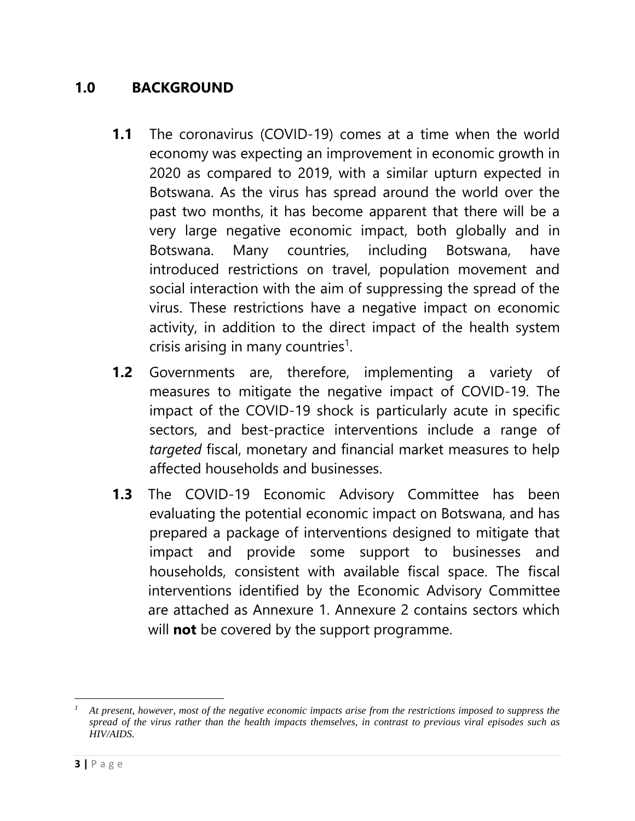# **1.0 BACKGROUND**

- <span id="page-2-0"></span>**1.1** The coronavirus (COVID-19) comes at a time when the world economy was expecting an improvement in economic growth in 2020 as compared to 2019, with a similar upturn expected in Botswana. As the virus has spread around the world over the past two months, it has become apparent that there will be a very large negative economic impact, both globally and in Botswana. Many countries, including Botswana, have introduced restrictions on travel, population movement and social interaction with the aim of suppressing the spread of the virus. These restrictions have a negative impact on economic activity, in addition to the direct impact of the health system crisis arising in many countries<sup>1</sup>.
- **1.2** Governments are, therefore, implementing a variety of measures to mitigate the negative impact of COVID-19. The impact of the COVID-19 shock is particularly acute in specific sectors, and best-practice interventions include a range of *targeted* fiscal, monetary and financial market measures to help affected households and businesses.
- **1.3** The COVID-19 Economic Advisory Committee has been evaluating the potential economic impact on Botswana, and has prepared a package of interventions designed to mitigate that impact and provide some support to businesses and households, consistent with available fiscal space. The fiscal interventions identified by the Economic Advisory Committee are attached as Annexure 1. Annexure 2 contains sectors which will **not** be covered by the support programme.

 $\overline{\phantom{a}}$ *<sup>1</sup> At present, however, most of the negative economic impacts arise from the restrictions imposed to suppress the spread of the virus rather than the health impacts themselves, in contrast to previous viral episodes such as HIV/AIDS.*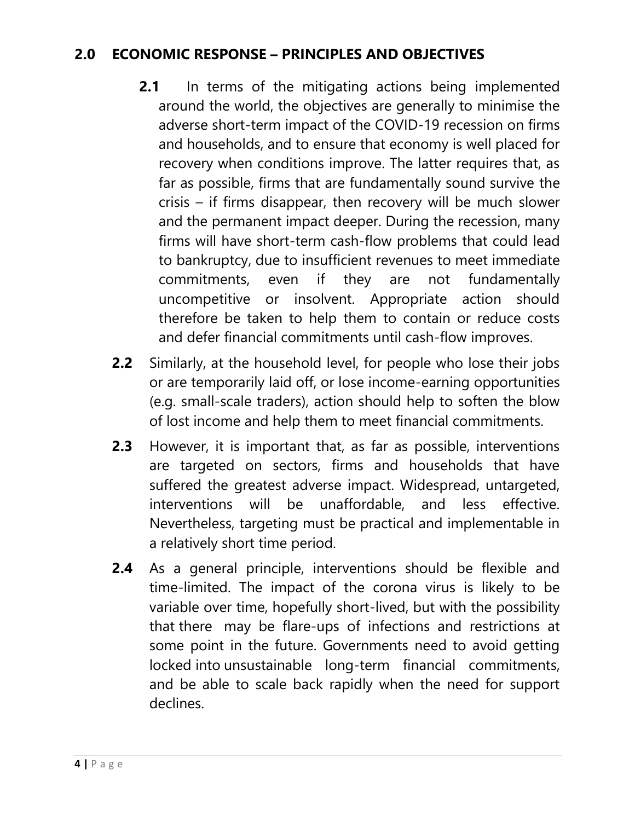# <span id="page-3-0"></span>**2.0 ECONOMIC RESPONSE – PRINCIPLES AND OBJECTIVES**

- **2.1** In terms of the mitigating actions being implemented around the world, the objectives are generally to minimise the adverse short-term impact of the COVID-19 recession on firms and households, and to ensure that economy is well placed for recovery when conditions improve. The latter requires that, as far as possible, firms that are fundamentally sound survive the crisis – if firms disappear, then recovery will be much slower and the permanent impact deeper. During the recession, many firms will have short-term cash-flow problems that could lead to bankruptcy, due to insufficient revenues to meet immediate commitments, even if they are not fundamentally uncompetitive or insolvent. Appropriate action should therefore be taken to help them to contain or reduce costs and defer financial commitments until cash-flow improves.
- **2.2** Similarly, at the household level, for people who lose their jobs or are temporarily laid off, or lose income-earning opportunities (e.g. small-scale traders), action should help to soften the blow of lost income and help them to meet financial commitments.
- **2.3** However, it is important that, as far as possible, interventions are targeted on sectors, firms and households that have suffered the greatest adverse impact. Widespread, untargeted, interventions will be unaffordable, and less effective. Nevertheless, targeting must be practical and implementable in a relatively short time period.
- **2.4** As a general principle, interventions should be flexible and time-limited. The impact of the corona virus is likely to be variable over time, hopefully short-lived, but with the possibility that there may be flare-ups of infections and restrictions at some point in the future. Governments need to avoid getting locked into unsustainable long-term financial commitments, and be able to scale back rapidly when the need for support declines.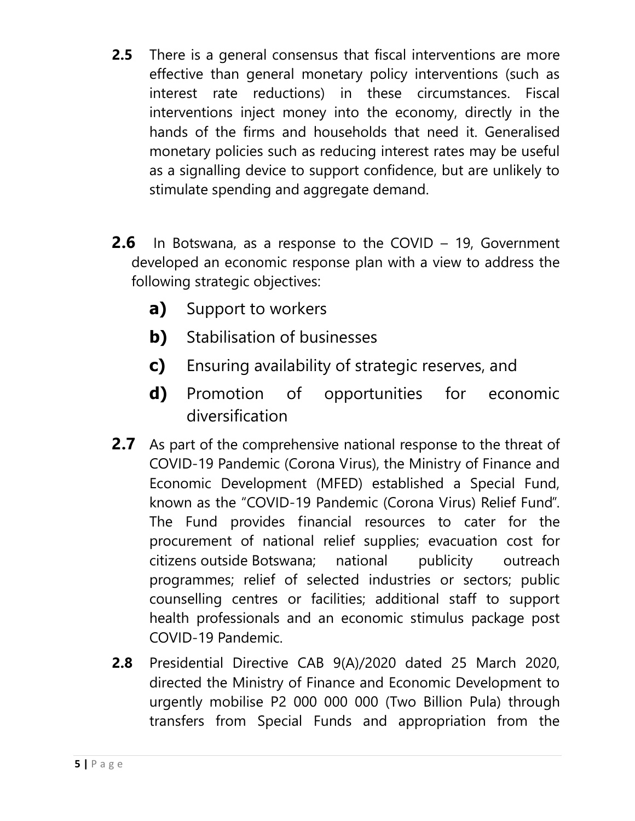- **2.5** There is a general consensus that fiscal interventions are more effective than general monetary policy interventions (such as interest rate reductions) in these circumstances. Fiscal interventions inject money into the economy, directly in the hands of the firms and households that need it. Generalised monetary policies such as reducing interest rates may be useful as a signalling device to support confidence, but are unlikely to stimulate spending and aggregate demand.
- **2.6** In Botswana, as a response to the COVID 19, Government developed an economic response plan with a view to address the following strategic objectives:
	- **a)** Support to workers
	- **b)** Stabilisation of businesses
	- **c)** Ensuring availability of strategic reserves, and
	- **d)** Promotion of opportunities for economic diversification
- **2.7** As part of the comprehensive national response to the threat of COVID-19 Pandemic (Corona Virus), the Ministry of Finance and Economic Development (MFED) established a Special Fund, known as the "COVID-19 Pandemic (Corona Virus) Relief Fund". The Fund provides financial resources to cater for the procurement of national relief supplies; evacuation cost for citizens outside Botswana; national publicity outreach programmes; relief of selected industries or sectors; public counselling centres or facilities; additional staff to support health professionals and an economic stimulus package post COVID-19 Pandemic.
- **2.8** Presidential Directive CAB 9(A)/2020 dated 25 March 2020, directed the Ministry of Finance and Economic Development to urgently mobilise P2 000 000 000 (Two Billion Pula) through transfers from Special Funds and appropriation from the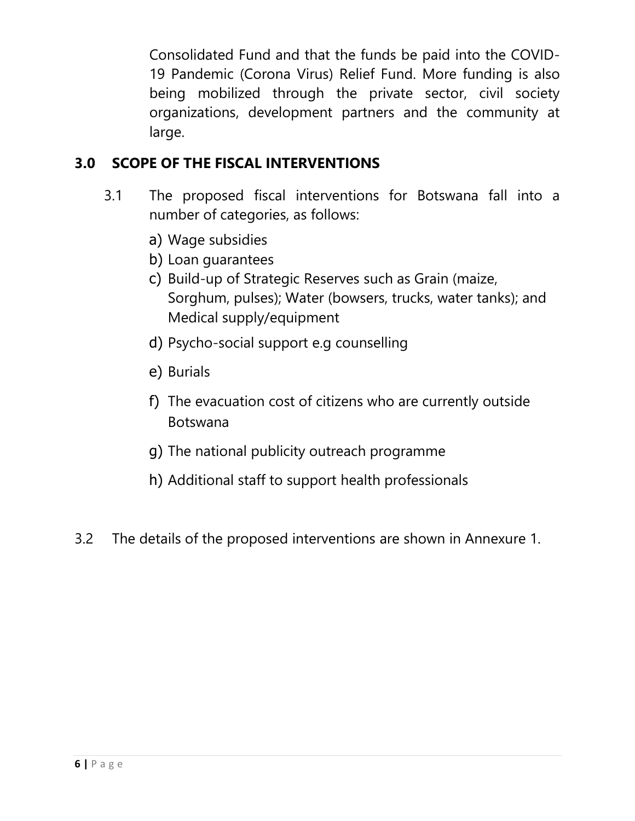Consolidated Fund and that the funds be paid into the COVID-19 Pandemic (Corona Virus) Relief Fund. More funding is also being mobilized through the private sector, civil society organizations, development partners and the community at large.

# <span id="page-5-0"></span>**3.0 SCOPE OF THE FISCAL INTERVENTIONS**

- 3.1 The proposed fiscal interventions for Botswana fall into a number of categories, as follows:
	- a) Wage subsidies
	- b) Loan guarantees
	- c) Build-up of Strategic Reserves such as Grain (maize, Sorghum, pulses); Water (bowsers, trucks, water tanks); and Medical supply/equipment
	- d) Psycho-social support e.g counselling
	- e) Burials
	- f) The evacuation cost of citizens who are currently outside Botswana
	- g) The national publicity outreach programme
	- h) Additional staff to support health professionals
- 3.2 The details of the proposed interventions are shown in Annexure 1.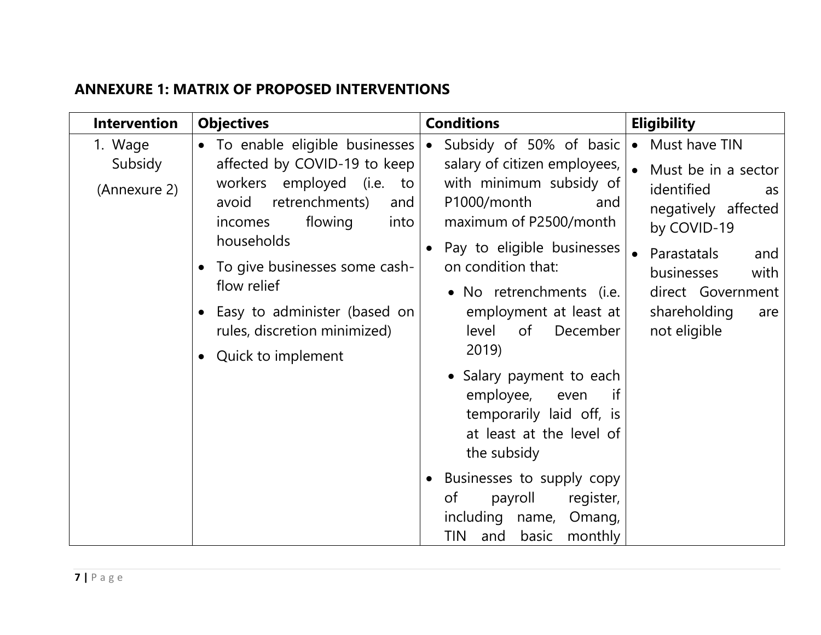## **ANNEXURE 1: MATRIX OF PROPOSED INTERVENTIONS**

<span id="page-6-0"></span>

| <b>Intervention</b>                | <b>Objectives</b>                                                                                                                                                                                                                                                                                                     | <b>Conditions</b>                                                                                                                                                                                                                                                                             | <b>Eligibility</b>                                                                                                                                                                                       |
|------------------------------------|-----------------------------------------------------------------------------------------------------------------------------------------------------------------------------------------------------------------------------------------------------------------------------------------------------------------------|-----------------------------------------------------------------------------------------------------------------------------------------------------------------------------------------------------------------------------------------------------------------------------------------------|----------------------------------------------------------------------------------------------------------------------------------------------------------------------------------------------------------|
| 1. Wage<br>Subsidy<br>(Annexure 2) | • To enable eligible businesses<br>affected by COVID-19 to keep<br>workers employed (i.e.<br>to<br>retrenchments)<br>avoid<br>and<br>flowing<br>incomes<br>into<br>households<br>To give businesses some cash-<br>flow relief<br>• Easy to administer (based on<br>rules, discretion minimized)<br>Quick to implement | Subsidy of 50% of basic<br>$\bullet$<br>salary of citizen employees,<br>with minimum subsidy of<br>P1000/month<br>and<br>maximum of P2500/month<br>Pay to eligible businesses<br>on condition that:<br>• No retrenchments (i.e.<br>employment at least at<br>level<br>December<br>of<br>2019) | • Must have TIN<br>Must be in a sector<br>identified<br>as<br>negatively affected<br>by COVID-19<br>Parastatals<br>and<br>businesses<br>with<br>direct Government<br>shareholding<br>are<br>not eligible |
|                                    |                                                                                                                                                                                                                                                                                                                       | • Salary payment to each<br>employee,<br>if<br>even<br>temporarily laid off, is<br>at least at the level of<br>the subsidy<br>Businesses to supply copy<br>register,<br>payroll<br>of<br>including name, Omang,<br>and basic<br>monthly<br>TIN                                                |                                                                                                                                                                                                          |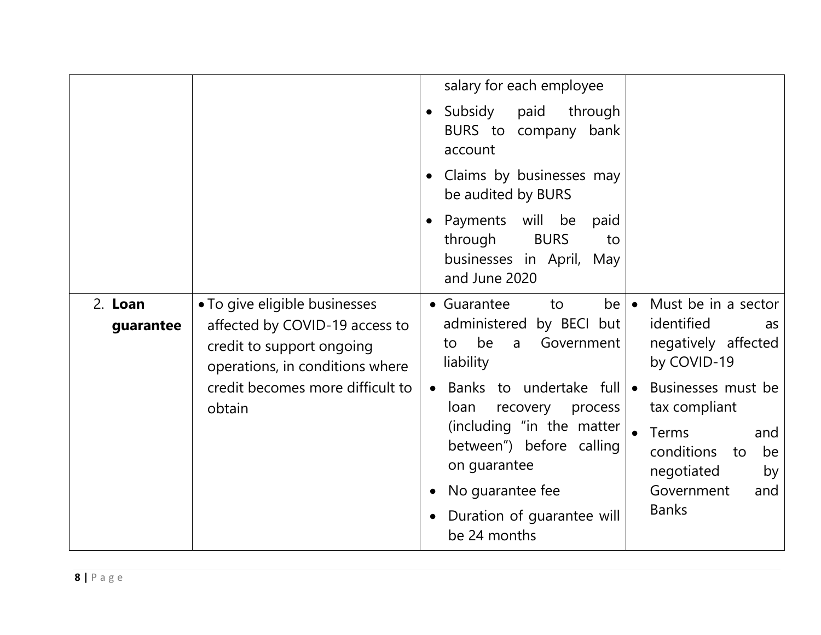|                      |                                                                                                                                 | salary for each employee<br>Subsidy<br>paid<br>through<br>$\bullet$<br>BURS to company bank<br>account                                                                                            |                                                                                                                                                            |
|----------------------|---------------------------------------------------------------------------------------------------------------------------------|---------------------------------------------------------------------------------------------------------------------------------------------------------------------------------------------------|------------------------------------------------------------------------------------------------------------------------------------------------------------|
|                      |                                                                                                                                 | Claims by businesses may<br>$\bullet$<br>be audited by BURS                                                                                                                                       |                                                                                                                                                            |
|                      |                                                                                                                                 | Payments will<br>be<br>paid<br>$\bullet$<br>through<br><b>BURS</b><br>to<br>businesses in April, May<br>and June 2020                                                                             |                                                                                                                                                            |
| 2. Loan<br>guarantee | • To give eligible businesses<br>affected by COVID-19 access to<br>credit to support ongoing<br>operations, in conditions where | • Guarantee<br>be<br>to<br>administered by BECI but<br>be<br>Government<br>to<br>a<br>liability                                                                                                   | Must be in a sector<br>$\bullet$<br>identified<br>as<br>negatively affected<br>by COVID-19                                                                 |
|                      | credit becomes more difficult to<br>obtain                                                                                      | Banks to undertake full<br>loan<br>recovery<br>process<br>(including "in the matter<br>between") before calling<br>on guarantee<br>No guarantee fee<br>Duration of guarantee will<br>be 24 months | Businesses must be<br>$\bullet$<br>tax compliant<br><b>Terms</b><br>and<br>conditions<br>to<br>be<br>negotiated<br>by<br>Government<br>and<br><b>Banks</b> |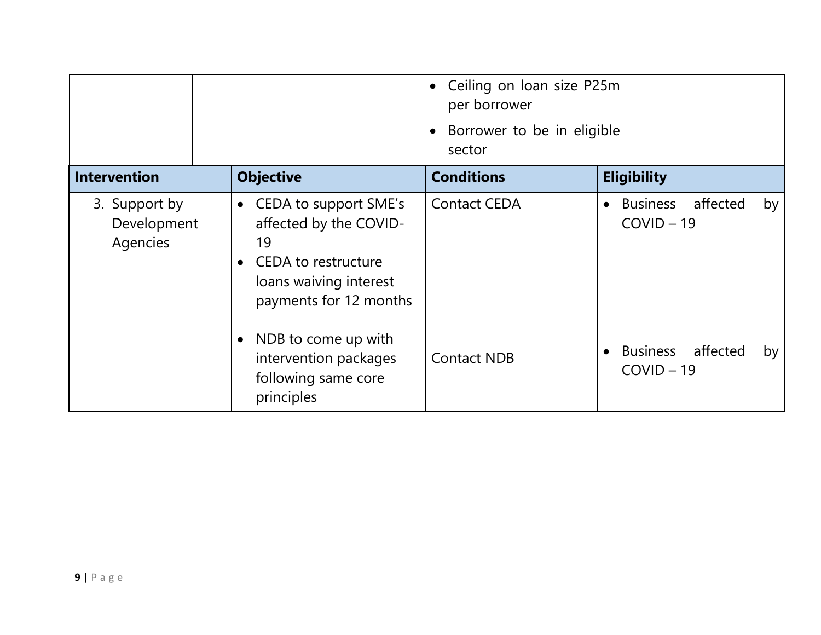|                                          |                                                                                                                                               | Ceiling on loan size P25m<br>$\bullet$<br>per borrower<br>Borrower to be in eligible<br>$\bullet$<br>sector |                                                                  |
|------------------------------------------|-----------------------------------------------------------------------------------------------------------------------------------------------|-------------------------------------------------------------------------------------------------------------|------------------------------------------------------------------|
| <b>Intervention</b>                      | <b>Objective</b>                                                                                                                              | <b>Conditions</b>                                                                                           | <b>Eligibility</b>                                               |
| 3. Support by<br>Development<br>Agencies | CEDA to support SME's<br>$\bullet$<br>affected by the COVID-<br>19<br>CEDA to restructure<br>loans waiving interest<br>payments for 12 months | <b>Contact CEDA</b>                                                                                         | <b>Business</b><br>affected<br>by  <br>$\bullet$<br>$COVID - 19$ |
|                                          | NDB to come up with<br>intervention packages<br>following same core<br>principles                                                             | <b>Contact NDB</b>                                                                                          | <b>Business</b><br>affected<br>by<br>$COVID - 19$                |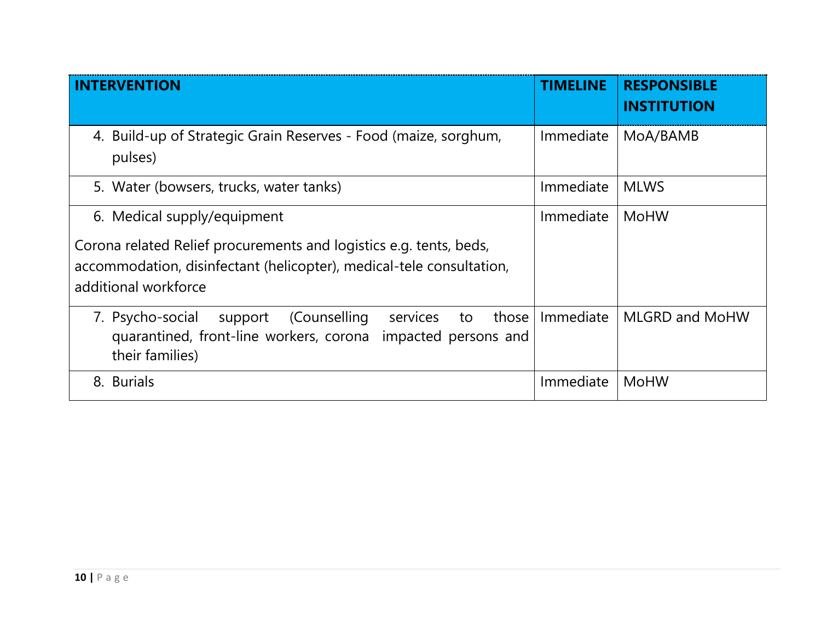| <b>INTERVENTION</b>                                                                                                                                                                               | <b>TIMELINE</b> | <b>RESPONSIBLE</b><br><b>INSTITUTION</b> |
|---------------------------------------------------------------------------------------------------------------------------------------------------------------------------------------------------|-----------------|------------------------------------------|
| 4. Build-up of Strategic Grain Reserves - Food (maize, sorghum,<br>pulses)                                                                                                                        | Immediate       | MoA/BAMB                                 |
| 5. Water (bowsers, trucks, water tanks)                                                                                                                                                           | Immediate       | <b>MLWS</b>                              |
| 6. Medical supply/equipment<br>Corona related Relief procurements and logistics e.g. tents, beds,<br>accommodation, disinfectant (helicopter), medical-tele consultation,<br>additional workforce | Immediate       | <b>MoHW</b>                              |
| (Counselling<br>7. Psycho-social<br>support<br>those<br>services<br>to<br>quarantined, front-line workers, corona<br>impacted persons and<br>their families)                                      | Immediate       | <b>MLGRD and MoHW</b>                    |
| 8. Burials                                                                                                                                                                                        | Immediate       | <b>MoHW</b>                              |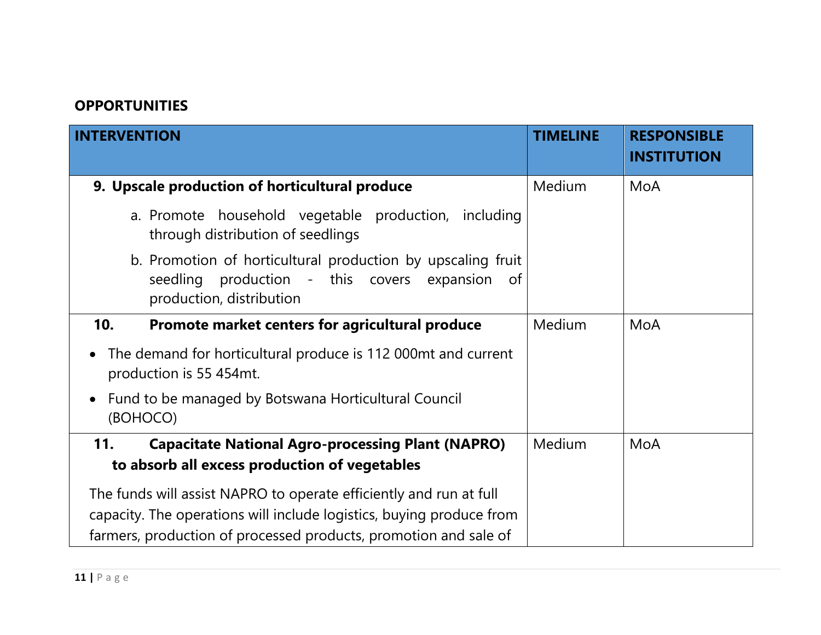## **OPPORTUNITIES**

| <b>INTERVENTION</b>                                                                                                                             | <b>TIMELINE</b> | <b>RESPONSIBLE</b><br><b>INSTITUTION</b> |
|-------------------------------------------------------------------------------------------------------------------------------------------------|-----------------|------------------------------------------|
| 9. Upscale production of horticultural produce                                                                                                  | Medium          | MoA                                      |
| a. Promote household vegetable production, including<br>through distribution of seedlings                                                       |                 |                                          |
| b. Promotion of horticultural production by upscaling fruit<br>production - this covers expansion<br>seedling<br>of<br>production, distribution |                 |                                          |
| Promote market centers for agricultural produce<br>10.                                                                                          | <b>Medium</b>   | MoA                                      |
| The demand for horticultural produce is 112 000mt and current<br>$\bullet$<br>production is 55 454mt.                                           |                 |                                          |
| Fund to be managed by Botswana Horticultural Council<br>$\bullet$<br>(BOHOCO)                                                                   |                 |                                          |
| 11.<br><b>Capacitate National Agro-processing Plant (NAPRO)</b>                                                                                 | Medium          | MoA                                      |
| to absorb all excess production of vegetables                                                                                                   |                 |                                          |
| The funds will assist NAPRO to operate efficiently and run at full                                                                              |                 |                                          |
| capacity. The operations will include logistics, buying produce from                                                                            |                 |                                          |
| farmers, production of processed products, promotion and sale of                                                                                |                 |                                          |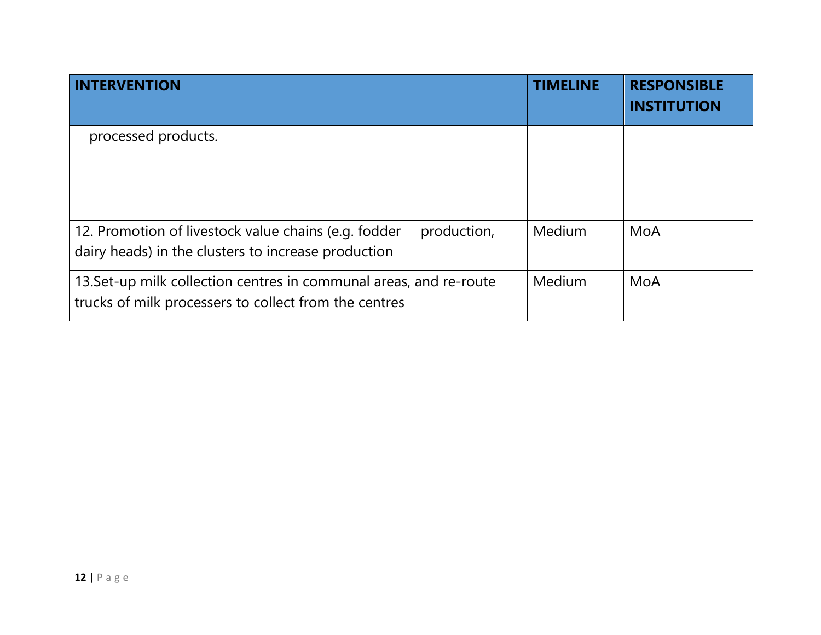| <b>INTERVENTION</b>                                                                                                         | <b>TIMELINE</b> | <b>RESPONSIBLE</b><br><b>INSTITUTION</b> |
|-----------------------------------------------------------------------------------------------------------------------------|-----------------|------------------------------------------|
| processed products.                                                                                                         |                 |                                          |
| production,<br>12. Promotion of livestock value chains (e.g. fodder<br>dairy heads) in the clusters to increase production  | Medium          | MoA                                      |
| 13. Set-up milk collection centres in communal areas, and re-route<br>trucks of milk processers to collect from the centres | Medium          | MoA                                      |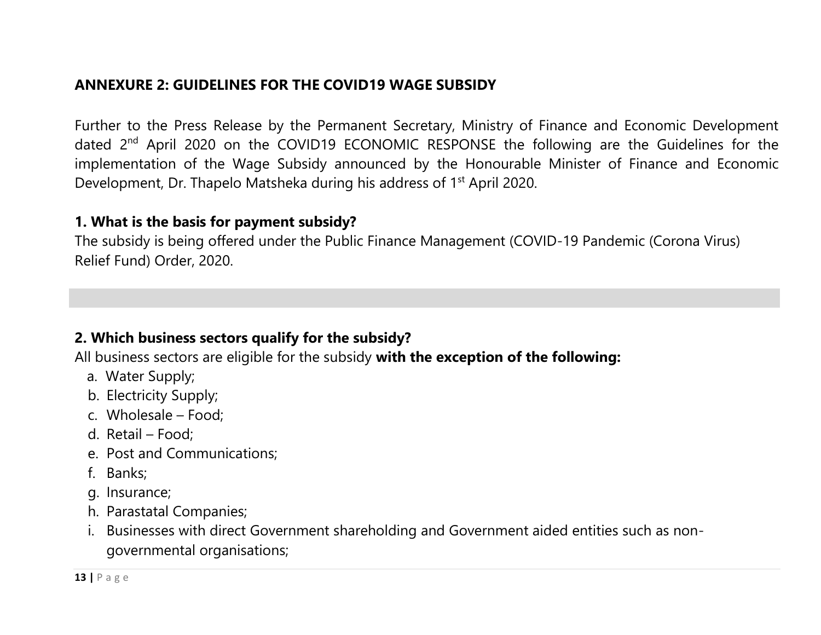# **ANNEXURE 2: GUIDELINES FOR THE COVID19 WAGE SUBSIDY**

Further to the Press Release by the Permanent Secretary, Ministry of Finance and Economic Development dated 2<sup>nd</sup> April 2020 on the COVID19 ECONOMIC RESPONSE the following are the Guidelines for the implementation of the Wage Subsidy announced by the Honourable Minister of Finance and Economic Development, Dr. Thapelo Matsheka during his address of 1<sup>st</sup> April 2020.

#### **1. What is the basis for payment subsidy?**

<span id="page-12-0"></span>The subsidy is being offered under the Public Finance Management (COVID-19 Pandemic (Corona Virus) Relief Fund) Order, 2020.

#### **2. Which business sectors qualify for the subsidy?**

All business sectors are eligible for the subsidy **with the exception of the following:**

- a. Water Supply;
- b. Electricity Supply;
- c. Wholesale Food;
- d. Retail Food;
- e. Post and Communications;
- f. Banks;
- g. Insurance;
- h. Parastatal Companies;
- i. Businesses with direct Government shareholding and Government aided entities such as nongovernmental organisations;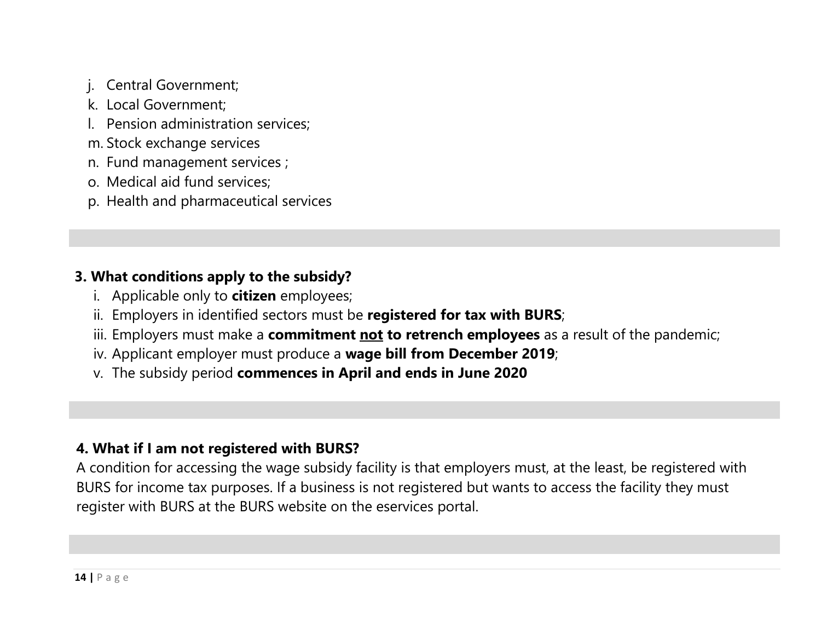- j. Central Government;
- k. Local Government;
- l. Pension administration services;
- m. Stock exchange services
- n. Fund management services ;
- o. Medical aid fund services;
- p. Health and pharmaceutical services

# **3. What conditions apply to the subsidy?**

- i. Applicable only to **citizen** employees;
- ii. Employers in identified sectors must be **registered for tax with BURS**;
- iii. Employers must make a **commitment not to retrench employees** as a result of the pandemic;
- iv. Applicant employer must produce a **wage bill from December 2019**;
- v. The subsidy period **commences in April and ends in June 2020**

# **4. What if I am not registered with BURS?**

A condition for accessing the wage subsidy facility is that employers must, at the least, be registered with BURS for income tax purposes. If a business is not registered but wants to access the facility they must register with BURS at the BURS website on the eservices portal.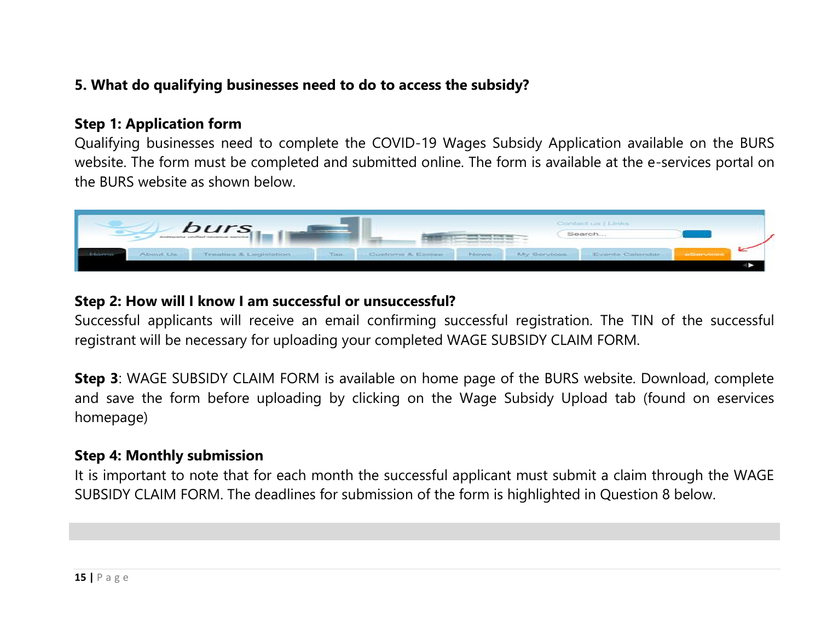# **5. What do qualifying businesses need to do to access the subsidy?**

#### **Step 1: Application form**

Qualifying businesses need to complete the COVID-19 Wages Subsidy Application available on the BURS website. The form must be completed and submitted online. The form is available at the e-services portal on the BURS website as shown below.



#### **Step 2: How will I know I am successful or unsuccessful?**

Successful applicants will receive an email confirming successful registration. The TIN of the successful registrant will be necessary for uploading your completed WAGE SUBSIDY CLAIM FORM.

**Step 3**: WAGE SUBSIDY CLAIM FORM is available on home page of the BURS website. Download, complete and save the form before uploading by clicking on the Wage Subsidy Upload tab (found on eservices homepage)

#### **Step 4: Monthly submission**

It is important to note that for each month the successful applicant must submit a claim through the WAGE SUBSIDY CLAIM FORM. The deadlines for submission of the form is highlighted in Question 8 below.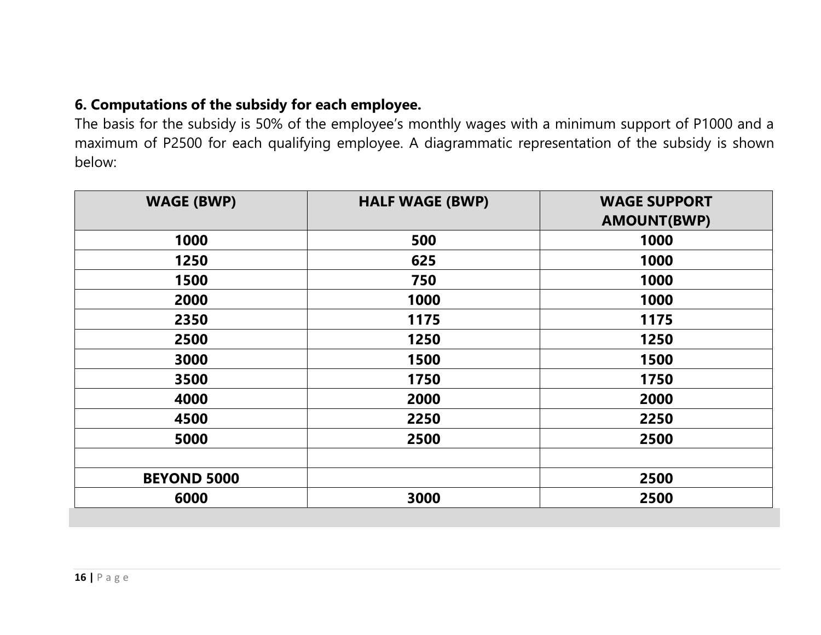## **6. Computations of the subsidy for each employee.**

The basis for the subsidy is 50% of the employee's monthly wages with a minimum support of P1000 and a maximum of P2500 for each qualifying employee. A diagrammatic representation of the subsidy is shown below:

| <b>WAGE (BWP)</b>  | <b>HALF WAGE (BWP)</b> | <b>WAGE SUPPORT</b> |
|--------------------|------------------------|---------------------|
|                    |                        | <b>AMOUNT(BWP)</b>  |
| 1000               | 500                    | 1000                |
| 1250               | 625                    | 1000                |
| 1500               | 750                    | 1000                |
| 2000               | 1000                   | 1000                |
| 2350               | 1175                   | 1175                |
| 2500               | 1250                   | 1250                |
| 3000               | 1500                   | 1500                |
| 3500               | 1750                   | 1750                |
| 4000               | 2000                   | 2000                |
| 4500               | 2250                   | 2250                |
| 5000               | 2500                   | 2500                |
|                    |                        |                     |
| <b>BEYOND 5000</b> |                        | 2500                |
| 6000               | 3000                   | 2500                |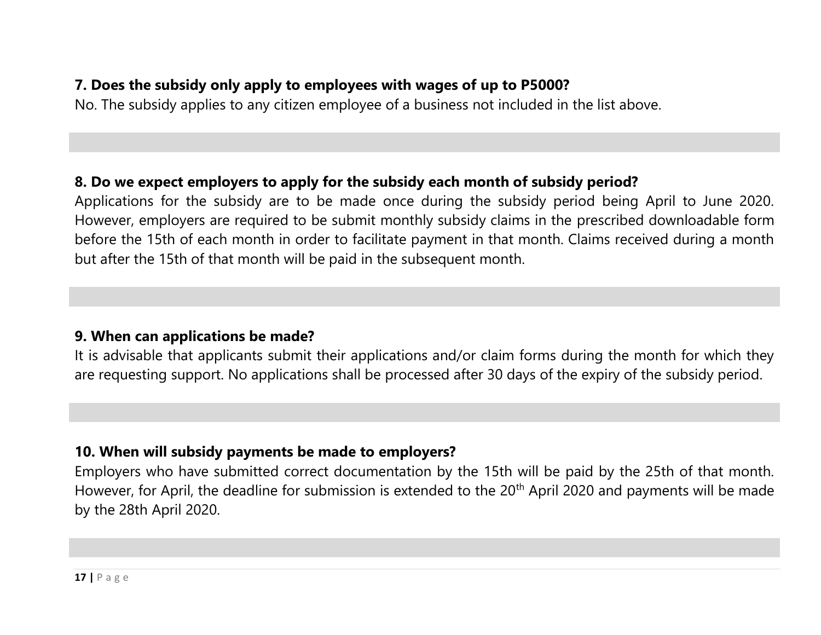## **7. Does the subsidy only apply to employees with wages of up to P5000?**

No. The subsidy applies to any citizen employee of a business not included in the list above.

#### **8. Do we expect employers to apply for the subsidy each month of subsidy period?**

Applications for the subsidy are to be made once during the subsidy period being April to June 2020. However, employers are required to be submit monthly subsidy claims in the prescribed downloadable form before the 15th of each month in order to facilitate payment in that month. Claims received during a month but after the 15th of that month will be paid in the subsequent month.

#### **9. When can applications be made?**

It is advisable that applicants submit their applications and/or claim forms during the month for which they are requesting support. No applications shall be processed after 30 days of the expiry of the subsidy period.

#### **10. When will subsidy payments be made to employers?**

Employers who have submitted correct documentation by the 15th will be paid by the 25th of that month. However, for April, the deadline for submission is extended to the 20<sup>th</sup> April 2020 and payments will be made by the 28th April 2020.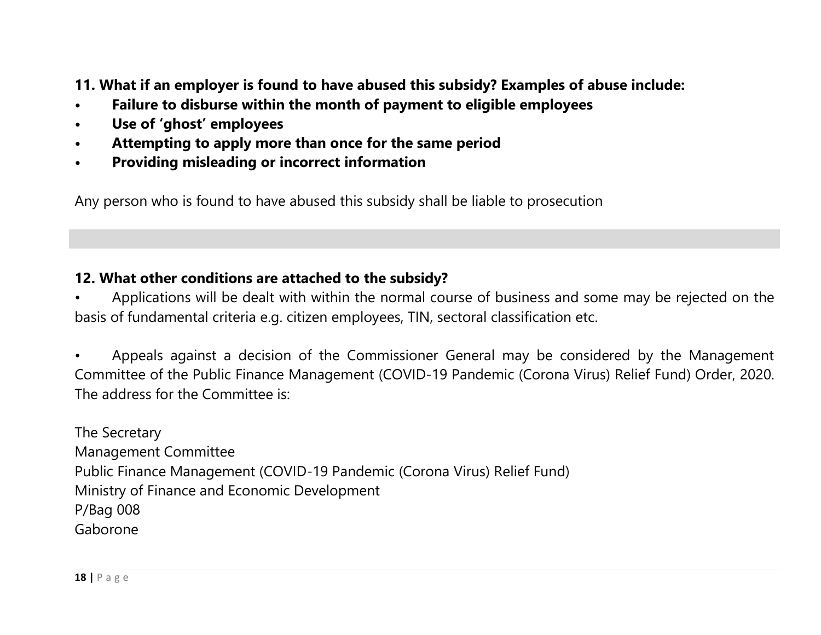**11. What if an employer is found to have abused this subsidy? Examples of abuse include:**

- **• Failure to disburse within the month of payment to eligible employees**
- **• Use of 'ghost' employees**
- **• Attempting to apply more than once for the same period**
- **• Providing misleading or incorrect information**

Any person who is found to have abused this subsidy shall be liable to prosecution

## **12. What other conditions are attached to the subsidy?**

• Applications will be dealt with within the normal course of business and some may be rejected on the basis of fundamental criteria e.g. citizen employees, TIN, sectoral classification etc.

• Appeals against a decision of the Commissioner General may be considered by the Management Committee of the Public Finance Management (COVID-19 Pandemic (Corona Virus) Relief Fund) Order, 2020. The address for the Committee is:

The Secretary Management Committee Public Finance Management (COVID-19 Pandemic (Corona Virus) Relief Fund) Ministry of Finance and Economic Development P/Bag 008 Gaborone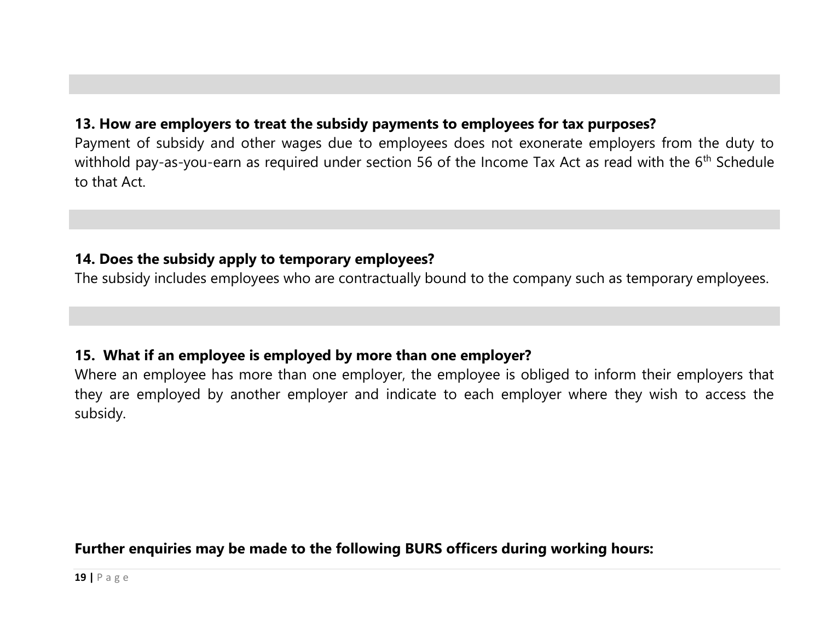# **13. How are employers to treat the subsidy payments to employees for tax purposes?**

Payment of subsidy and other wages due to employees does not exonerate employers from the duty to withhold pay-as-you-earn as required under section 56 of the Income Tax Act as read with the 6<sup>th</sup> Schedule to that Act.

#### **14. Does the subsidy apply to temporary employees?**

The subsidy includes employees who are contractually bound to the company such as temporary employees.

#### **15. What if an employee is employed by more than one employer?**

Where an employee has more than one employer, the employee is obliged to inform their employers that they are employed by another employer and indicate to each employer where they wish to access the subsidy.

#### **Further enquiries may be made to the following BURS officers during working hours:**